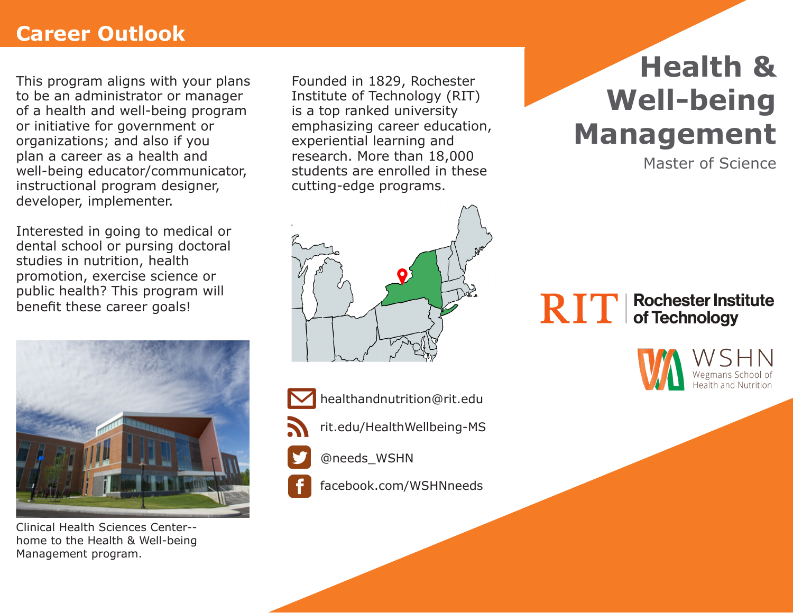# **Career Outlook**

This program aligns with your plans to be an administrator or manager of a health and well-being program or initiative for government or organizations; and also if you plan a career as a health and well-being educator/communicator, instructional program designer, developer, implementer.

Interested in going to medical or dental school or pursing doctoral studies in nutrition, health promotion, exercise science or public health? This program will benefit these career goals!



Clinical Health Sciences Center- home to the Health & Well-being Management program.

Founded in 1829, Rochester Institute of Technology (RIT) is a top ranked university emphasizing career education, experiential learning and research. More than 18,000 students are enrolled in these cutting-edge programs.





rit.edu/HealthWellbeing-MS

@needs\_WSHN

facebook.com/WSHNneeds

# **Health & Well-being Management**

Master of Science

#### **Rochester Institute RIT** of Technology